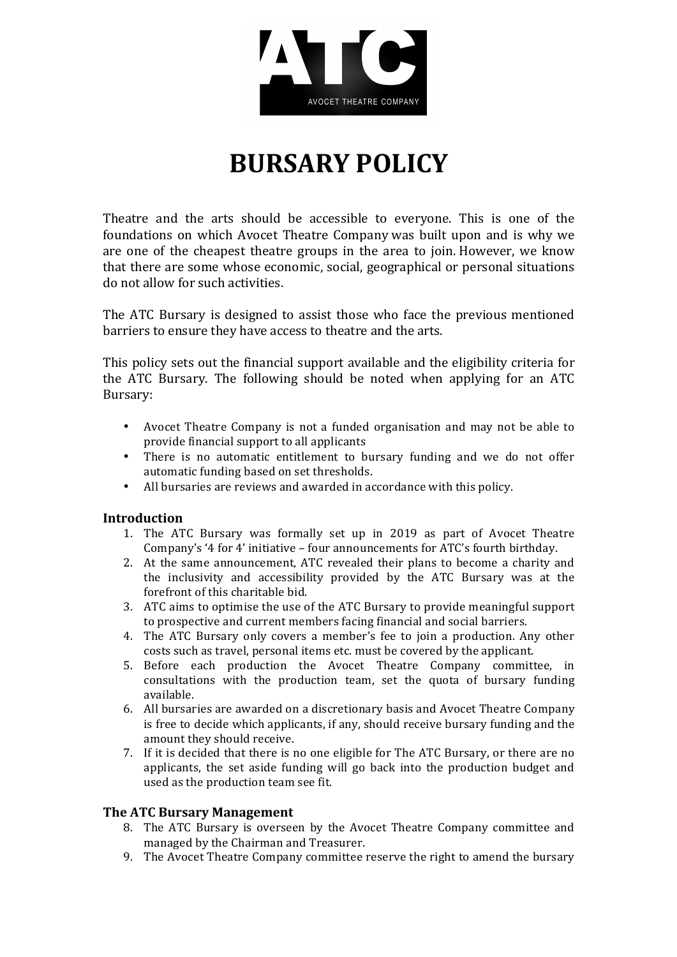

# **BURSARY POLICY**

Theatre and the arts should be accessible to everyone. This is one of the foundations on which Avocet Theatre Company was built upon and is why we are one of the cheapest theatre groups in the area to join. However, we know that there are some whose economic, social, geographical or personal situations do not allow for such activities.

The ATC Bursary is designed to assist those who face the previous mentioned barriers to ensure they have access to theatre and the arts.

This policy sets out the financial support available and the eligibility criteria for the ATC Bursary. The following should be noted when applying for an ATC Bursary:

- Avocet Theatre Company is not a funded organisation and may not be able to provide financial support to all applicants
- There is no automatic entitlement to bursary funding and we do not offer automatic funding based on set thresholds.
- All bursaries are reviews and awarded in accordance with this policy.

### **Introduction**

- 1. The ATC Bursary was formally set up in 2019 as part of Avocet Theatre Company's '4 for 4' initiative – four announcements for ATC's fourth birthday.
- 2. At the same announcement, ATC revealed their plans to become a charity and the inclusivity and accessibility provided by the ATC Bursary was at the forefront of this charitable bid.
- 3. ATC aims to optimise the use of the ATC Bursary to provide meaningful support to prospective and current members facing financial and social barriers.
- 4. The ATC Bursary only covers a member's fee to join a production. Any other costs such as travel, personal items etc. must be covered by the applicant.
- 5. Before each production the Avocet Theatre Company committee, in consultations with the production team, set the quota of bursary funding available.
- 6. All bursaries are awarded on a discretionary basis and Avocet Theatre Company is free to decide which applicants, if any, should receive bursary funding and the amount they should receive.
- 7. If it is decided that there is no one eligible for The ATC Bursary, or there are no applicants, the set aside funding will go back into the production budget and used as the production team see fit.

### **The ATC Bursary Management**

- 8. The ATC Bursary is overseen by the Avocet Theatre Company committee and managed by the Chairman and Treasurer.
- 9. The Avocet Theatre Company committee reserve the right to amend the bursary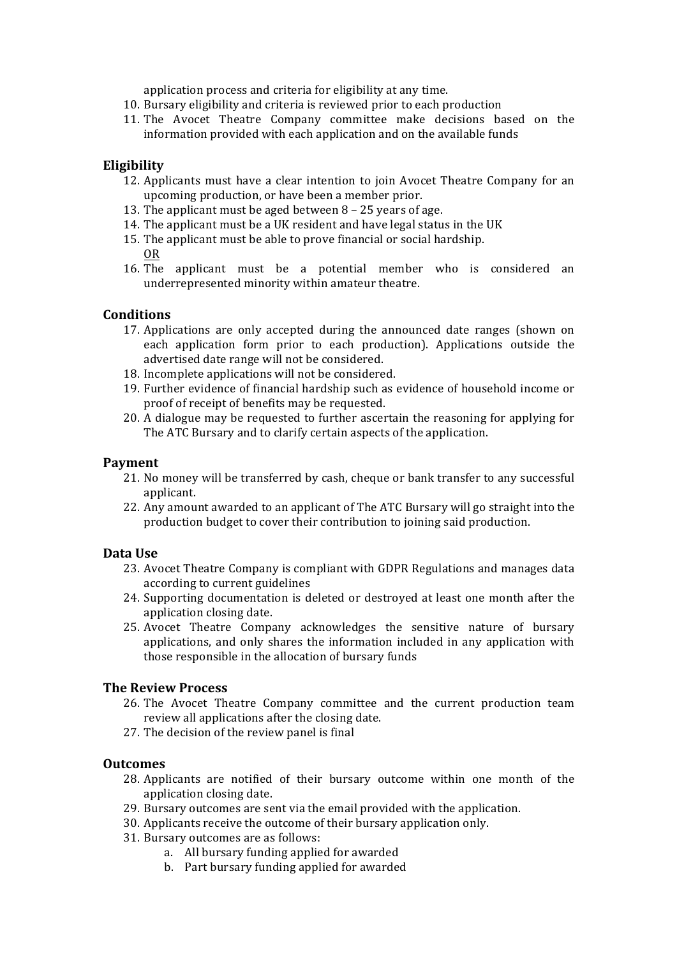application process and criteria for eligibility at any time.

- 10. Bursary eligibility and criteria is reviewed prior to each production
- 11. The Avocet Theatre Company committee make decisions based on the information provided with each application and on the available funds

### **Eligibility**

- 12. Applicants must have a clear intention to join Avocet Theatre Company for an upcoming production, or have been a member prior.
- 13. The applicant must be aged between  $8 25$  vears of age.
- 14. The applicant must be a UK resident and have legal status in the UK
- 15. The applicant must be able to prove financial or social hardship. OR
- 16. The applicant must be a potential member who is considered an underrepresented minority within amateur theatre.

### **Conditions**

- 17. Applications are only accepted during the announced date ranges (shown on each application form prior to each production). Applications outside the advertised date range will not be considered.
- 18. Incomplete applications will not be considered.
- 19. Further evidence of financial hardship such as evidence of household income or proof of receipt of benefits may be requested.
- 20. A dialogue may be requested to further ascertain the reasoning for applying for The ATC Bursary and to clarify certain aspects of the application.

#### **Payment**

- 21. No money will be transferred by cash, cheque or bank transfer to any successful applicant.
- 22. Any amount awarded to an applicant of The ATC Bursary will go straight into the production budget to cover their contribution to joining said production.

### **Data Use**

- 23. Avocet Theatre Company is compliant with GDPR Regulations and manages data according to current guidelines
- 24. Supporting documentation is deleted or destroyed at least one month after the application closing date.
- 25. Avocet Theatre Company acknowledges the sensitive nature of bursary applications, and only shares the information included in any application with those responsible in the allocation of bursary funds

### **The Review Process**

- 26. The Avocet Theatre Company committee and the current production team review all applications after the closing date.
- 27. The decision of the review panel is final

#### **Outcomes**

- 28. Applicants are notified of their bursary outcome within one month of the application closing date.
- 29. Bursary outcomes are sent via the email provided with the application.
- 30. Applicants receive the outcome of their bursary application only.
- 31. Bursary outcomes are as follows:
	- a. All bursary funding applied for awarded
	- b. Part bursary funding applied for awarded